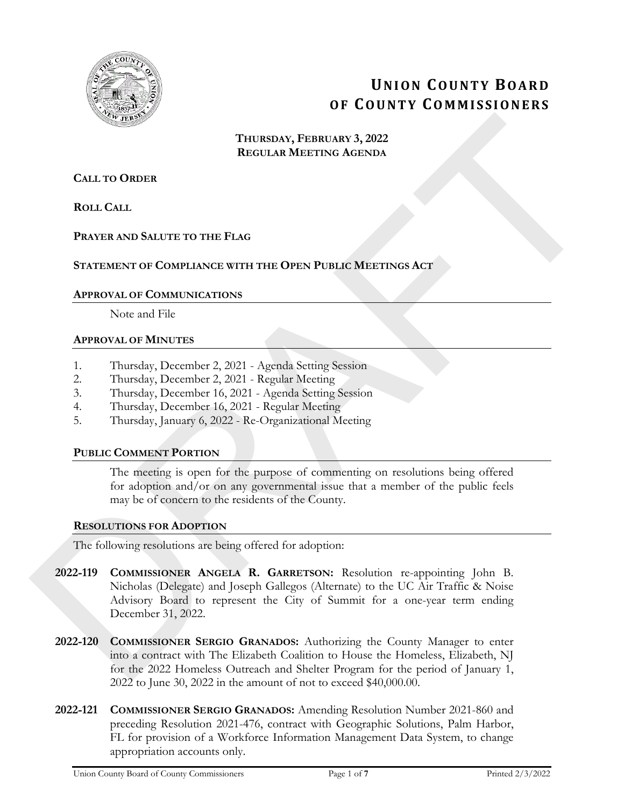

# **UNION COUNTY BOARD OF COUNTY COMMISSIONERS**

**THURSDAY, FEBRUARY 3, 2022 REGULAR MEETING AGENDA**

# **CALL TO ORDER**

**ROLL CALL**

# **PRAYER AND SALUTE TO THE FLAG**

# **STATEMENT OF COMPLIANCE WITH THE OPEN PUBLIC MEETINGS ACT**

## **APPROVAL OF COMMUNICATIONS**

Note and File

## **APPROVAL OF MINUTES**

- 1. Thursday, December 2, 2021 Agenda Setting Session
- 2. Thursday, December 2, 2021 Regular Meeting
- 3. Thursday, December 16, 2021 Agenda Setting Session
- 4. Thursday, December 16, 2021 Regular Meeting
- 5. Thursday, January 6, 2022 Re-Organizational Meeting

#### **PUBLIC COMMENT PORTION**

The meeting is open for the purpose of commenting on resolutions being offered for adoption and/or on any governmental issue that a member of the public feels may be of concern to the residents of the County.

#### **RESOLUTIONS FOR ADOPTION**

The following resolutions are being offered for adoption:

- **2022-119 COMMISSIONER ANGELA R. GARRETSON:** Resolution re-appointing John B. Nicholas (Delegate) and Joseph Gallegos (Alternate) to the UC Air Traffic & Noise Advisory Board to represent the City of Summit for a one-year term ending December 31, 2022. **THURSDAY, FRIENDAY, FRIENDAY, FRIEDRICAY (ACENDA<br>
REGULAR MEETING dictions)**<br> **REGULAR MEETING dictions**<br> **ROLL CALL**<br> **PRAFTER NOTE RAFTER TO THE FLAG**<br> **SECOND LOCAL CALL**<br> **SECOND DRAFTER OF CONFIDENCE WITH THE OPEN P** 
	- **2022-120 COMMISSIONER SERGIO GRANADOS:** Authorizing the County Manager to enter into a contract with The Elizabeth Coalition to House the Homeless, Elizabeth, NJ for the 2022 Homeless Outreach and Shelter Program for the period of January 1, 2022 to June 30, 2022 in the amount of not to exceed \$40,000.00.
	- **2022-121 COMMISSIONER SERGIO GRANADOS:** Amending Resolution Number 2021-860 and preceding Resolution 2021-476, contract with Geographic Solutions, Palm Harbor, FL for provision of a Workforce Information Management Data System, to change appropriation accounts only.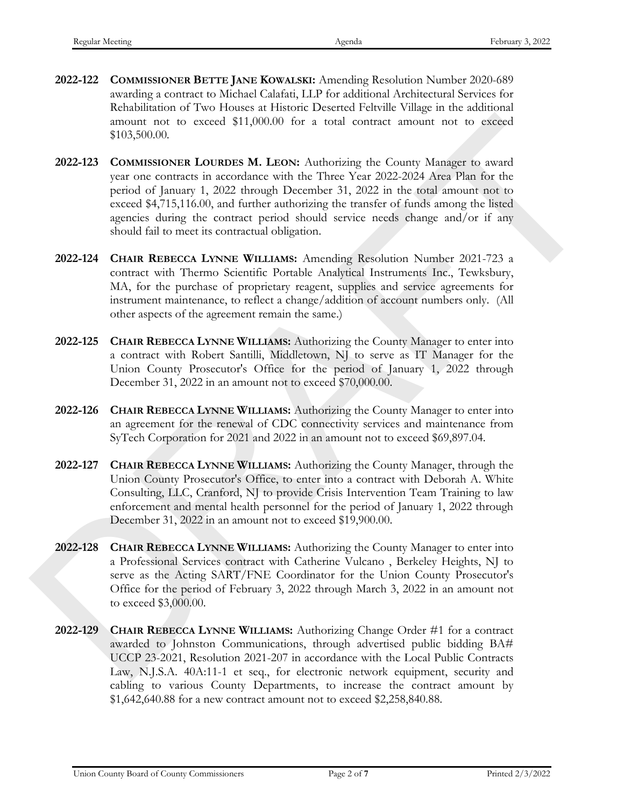- **2022-122 COMMISSIONER BETTE JANE KOWALSKI:** Amending Resolution Number 2020-689 awarding a contract to Michael Calafati, LLP for additional Architectural Services for Rehabilitation of Two Houses at Historic Deserted Feltville Village in the additional amount not to exceed \$11,000.00 for a total contract amount not to exceed \$103,500.00.
- **2022-123 COMMISSIONER LOURDES M. LEON:** Authorizing the County Manager to award year one contracts in accordance with the Three Year 2022-2024 Area Plan for the period of January 1, 2022 through December 31, 2022 in the total amount not to exceed \$4,715,116.00, and further authorizing the transfer of funds among the listed agencies during the contract period should service needs change and/or if any should fail to meet its contractual obligation. **amout not to exceed \$11,000.00** for a total contract amoutin aot to exceed<br>
2022-223 **CONMISSIONER LOTEDES M. LEON:** Atachoming the County Manager to award<br>
2022-223 **CONMISSIONER LOTEDES M. LEON:** Atachoming the County
	- **2022-124 CHAIR REBECCA LYNNE WILLIAMS:** Amending Resolution Number 2021-723 a contract with Thermo Scientific Portable Analytical Instruments Inc., Tewksbury, MA, for the purchase of proprietary reagent, supplies and service agreements for instrument maintenance, to reflect a change/addition of account numbers only. (All other aspects of the agreement remain the same.)
	- **2022-125 CHAIR REBECCA LYNNE WILLIAMS:** Authorizing the County Manager to enter into a contract with Robert Santilli, Middletown, NJ to serve as IT Manager for the Union County Prosecutor's Office for the period of January 1, 2022 through December 31, 2022 in an amount not to exceed \$70,000.00.
	- **2022-126 CHAIR REBECCA LYNNE WILLIAMS:** Authorizing the County Manager to enter into an agreement for the renewal of CDC connectivity services and maintenance from SyTech Corporation for 2021 and 2022 in an amount not to exceed \$69,897.04.
	- **2022-127 CHAIR REBECCA LYNNE WILLIAMS:** Authorizing the County Manager, through the Union County Prosecutor's Office, to enter into a contract with Deborah A. White Consulting, LLC, Cranford, NJ to provide Crisis Intervention Team Training to law enforcement and mental health personnel for the period of January 1, 2022 through December 31, 2022 in an amount not to exceed \$19,900.00.
	- **2022-128 CHAIR REBECCA LYNNE WILLIAMS:** Authorizing the County Manager to enter into a Professional Services contract with Catherine Vulcano , Berkeley Heights, NJ to serve as the Acting SART/FNE Coordinator for the Union County Prosecutor's Office for the period of February 3, 2022 through March 3, 2022 in an amount not to exceed \$3,000.00.
	- **2022-129 CHAIR REBECCA LYNNE WILLIAMS:** Authorizing Change Order #1 for a contract awarded to Johnston Communications, through advertised public bidding BA# UCCP 23-2021, Resolution 2021-207 in accordance with the Local Public Contracts Law, N.J.S.A. 40A:11-1 et seq., for electronic network equipment, security and cabling to various County Departments, to increase the contract amount by \$1,642,640.88 for a new contract amount not to exceed \$2,258,840.88.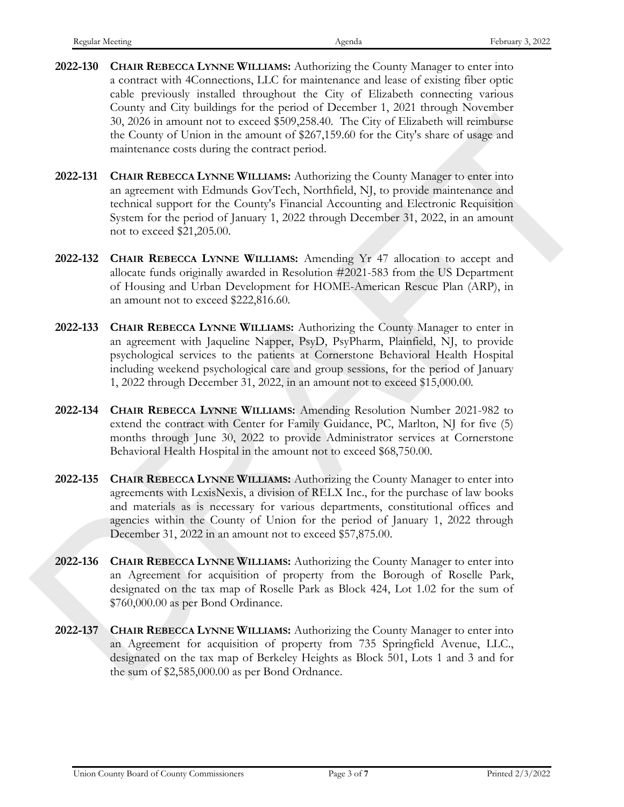- **2022-130 CHAIR REBECCA LYNNE WILLIAMS:** Authorizing the County Manager to enter into a contract with 4Connections, LLC for maintenance and lease of existing fiber optic cable previously installed throughout the City of Elizabeth connecting various County and City buildings for the period of December 1, 2021 through November 30, 2026 in amount not to exceed \$509,258.40. The City of Elizabeth will reimburse the County of Union in the amount of \$267,159.60 for the City's share of usage and maintenance costs during the contract period.
- **2022-131 CHAIR REBECCA LYNNE WILLIAMS:** Authorizing the County Manager to enter into an agreement with Edmunds GovTech, Northfield, NJ, to provide maintenance and technical support for the County's Financial Accounting and Electronic Requisition System for the period of January 1, 2022 through December 31, 2022, in an amount not to exceed \$21,205.00.
- **2022-132 CHAIR REBECCA LYNNE WILLIAMS:** Amending Yr 47 allocation to accept and allocate funds originally awarded in Resolution #2021-583 from the US Department of Housing and Urban Development for HOME-American Rescue Plan (ARP), in an amount not to exceed \$222,816.60.
- **2022-133 CHAIR REBECCA LYNNE WILLIAMS:** Authorizing the County Manager to enter in an agreement with Jaqueline Napper, PsyD, PsyPharm, Plainfield, NJ, to provide psychological services to the patients at Cornerstone Behavioral Health Hospital including weekend psychological care and group sessions, for the period of January 1, 2022 through December 31, 2022, in an amount not to exceed \$15,000.00. 30, 2022<br>
30, 2022 a a amount of the secure (\$90,25%). The Grow Likestein will resiming<br>the change of Union in the amount of \$207,150.60 for the Growth stars and<br>minimum cross-during the contract period.<br>
2022-131 CHAIN M
	- **2022-134 CHAIR REBECCA LYNNE WILLIAMS:** Amending Resolution Number 2021-982 to extend the contract with Center for Family Guidance, PC, Marlton, NJ for five (5) months through June 30, 2022 to provide Administrator services at Cornerstone Behavioral Health Hospital in the amount not to exceed \$68,750.00.
	- **2022-135 CHAIR REBECCA LYNNE WILLIAMS:** Authorizing the County Manager to enter into agreements with LexisNexis, a division of RELX Inc., for the purchase of law books and materials as is necessary for various departments, constitutional offices and agencies within the County of Union for the period of January 1, 2022 through December 31, 2022 in an amount not to exceed \$57,875.00.
	- **2022-136 CHAIR REBECCA LYNNE WILLIAMS:** Authorizing the County Manager to enter into an Agreement for acquisition of property from the Borough of Roselle Park, designated on the tax map of Roselle Park as Block 424, Lot 1.02 for the sum of \$760,000.00 as per Bond Ordinance.
	- **2022-137 CHAIR REBECCA LYNNE WILLIAMS:** Authorizing the County Manager to enter into an Agreement for acquisition of property from 735 Springfield Avenue, LLC., designated on the tax map of Berkeley Heights as Block 501, Lots 1 and 3 and for the sum of \$2,585,000.00 as per Bond Ordnance.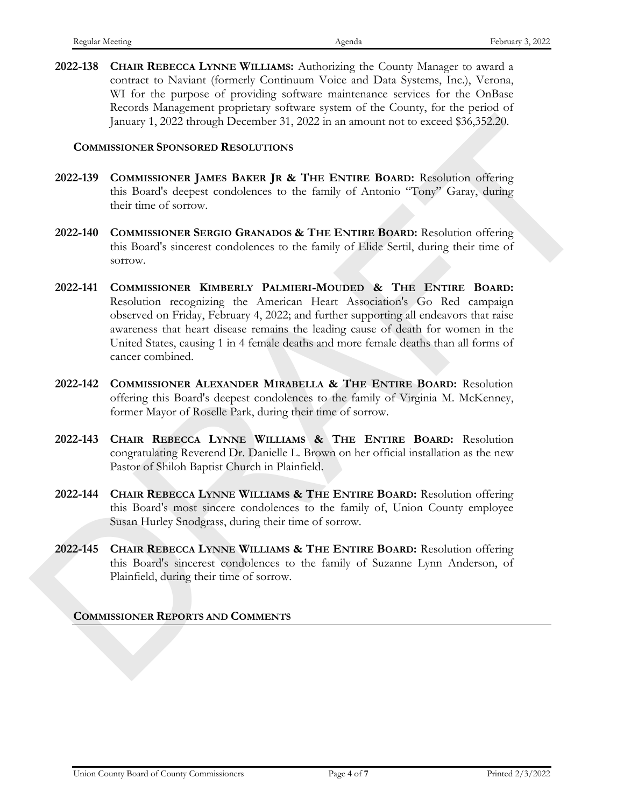**2022-138 CHAIR REBECCA LYNNE WILLIAMS:** Authorizing the County Manager to award a contract to Naviant (formerly Continuum Voice and Data Systems, Inc.), Verona, WI for the purpose of providing software maintenance services for the OnBase Records Management proprietary software system of the County, for the period of January 1, 2022 through December 31, 2022 in an amount not to exceed \$36,352.20.

#### **COMMISSIONER SPONSORED RESOLUTIONS**

- **2022-139 COMMISSIONER JAMES BAKER JR & THE ENTIRE BOARD:** Resolution offering this Board's deepest condolences to the family of Antonio "Tony" Garay, during their time of sorrow.
- **2022-140 COMMISSIONER SERGIO GRANADOS & THE ENTIRE BOARD:** Resolution offering this Board's sincerest condolences to the family of Elide Sertil, during their time of sorrow.
- **2022-141 COMMISSIONER KIMBERLY PALMIERI-MOUDED & THE ENTIRE BOARD:**  Resolution recognizing the American Heart Association's Go Red campaign observed on Friday, February 4, 2022; and further supporting all endeavors that raise awareness that heart disease remains the leading cause of death for women in the United States, causing 1 in 4 female deaths and more female deaths than all forms of cancer combined. (320214) Consumers that have also as a smooth of the second behavior of the Social Consumer (320224).<br>
COMMISSONARS (NORTHER RAFTIN EXPIRE BOMID: Resolution of their prior in Europe) (bits Boselin of the Hard Northern Co
	- **2022-142 COMMISSIONER ALEXANDER MIRABELLA & THE ENTIRE BOARD:** Resolution offering this Board's deepest condolences to the family of Virginia M. McKenney, former Mayor of Roselle Park, during their time of sorrow.
	- **2022-143 CHAIR REBECCA LYNNE WILLIAMS & THE ENTIRE BOARD:** Resolution congratulating Reverend Dr. Danielle L. Brown on her official installation as the new Pastor of Shiloh Baptist Church in Plainfield.
	- **2022-144 CHAIR REBECCA LYNNE WILLIAMS & THE ENTIRE BOARD:** Resolution offering this Board's most sincere condolences to the family of, Union County employee Susan Hurley Snodgrass, during their time of sorrow.
	- **2022-145 CHAIR REBECCA LYNNE WILLIAMS & THE ENTIRE BOARD:** Resolution offering this Board's sincerest condolences to the family of Suzanne Lynn Anderson, of Plainfield, during their time of sorrow.

#### **COMMISSIONER REPORTS AND COMMENTS**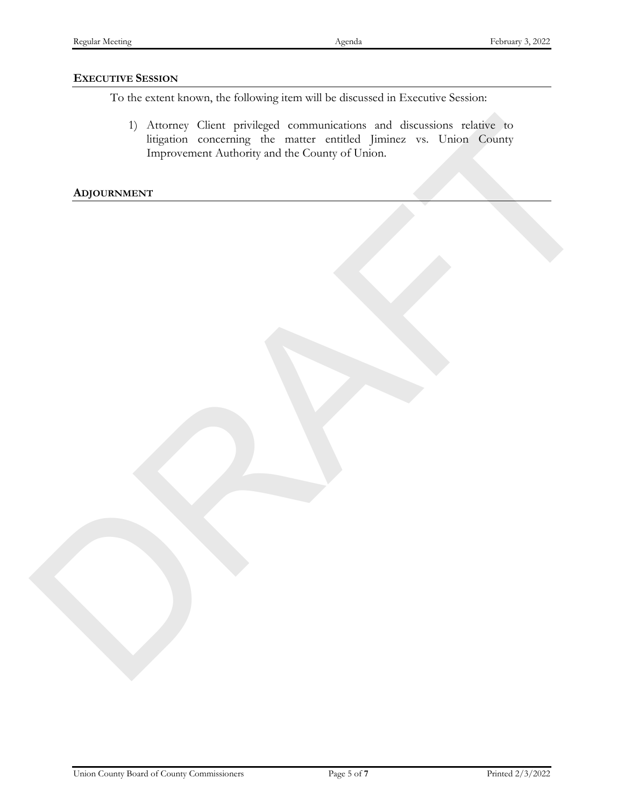#### **EXECUTIVE SESSION**

To the extent known, the following item will be discussed in Executive Session:

1) Attorney Client privileged communications and discussions relative to litigation concerning the matter entitled Jiminez vs. Union County Improvement Authority and the County of Union. 1) Attention Client privated communications and discussions of the superior of the content of the content of the County of Union Content of County and the County of Union County of County of County and the County of Union

**ADJOURNMENT**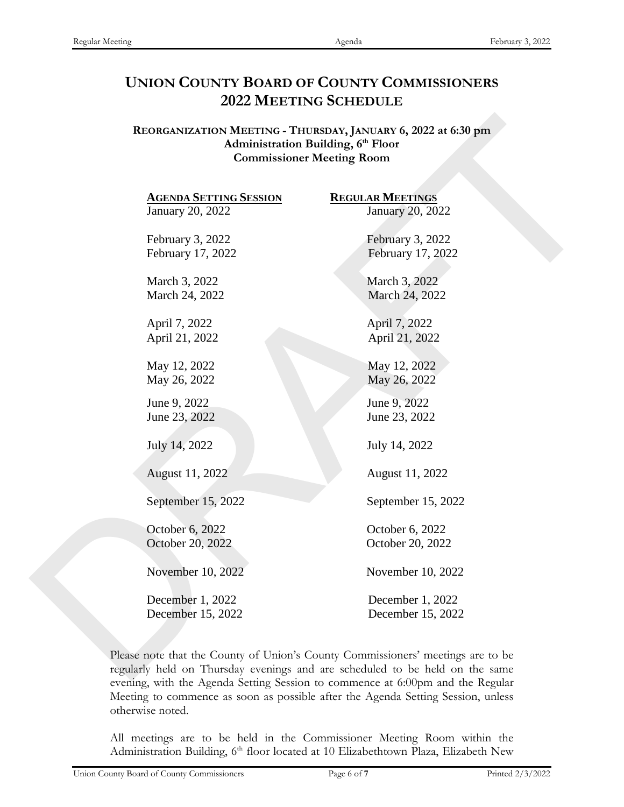# **UNION COUNTY BOARD OF COUNTY COMMISSIONERS 2022 MEETING SCHEDULE**

| <b>AGENDA SETTING SESSION</b> | <b>REGULAR MEETINGS</b> |
|-------------------------------|-------------------------|
| January 20, 2022              | January 20, 2022        |
| February 3, 2022              | February 3, 2022        |
| February 17, 2022             | February 17, 2022       |
| March 3, 2022                 | March 3, 2022           |
| March 24, 2022                | March 24, 2022          |
| April 7, 2022                 | April 7, 2022           |
| April 21, 2022                | April 21, 2022          |
| May 12, 2022                  | May 12, 2022            |
| May 26, 2022                  | May 26, 2022            |
| June 9, 2022                  | June 9, 2022            |
| June 23, 2022                 | June 23, 2022           |
| July 14, 2022                 | July 14, 2022           |
|                               |                         |
| August 11, 2022               | August 11, 2022         |
| September 15, 2022            | September 15, 2022      |
| October 6, 2022               | October 6, 2022         |
| October 20, 2022              | October 20, 2022        |
| November 10, 2022             | November 10, 2022       |
|                               |                         |
| December 1, 2022              | December 1, 2022        |
| December 15, 2022             | December 15, 2022       |

Please note that the County of Union's County Commissioners' meetings are to be regularly held on Thursday evenings and are scheduled to be held on the same evening, with the Agenda Setting Session to commence at 6:00pm and the Regular Meeting to commence as soon as possible after the Agenda Setting Session, unless otherwise noted.

All meetings are to be held in the Commissioner Meeting Room within the Administration Building, 6<sup>th</sup> floor located at 10 Elizabethtown Plaza, Elizabeth New